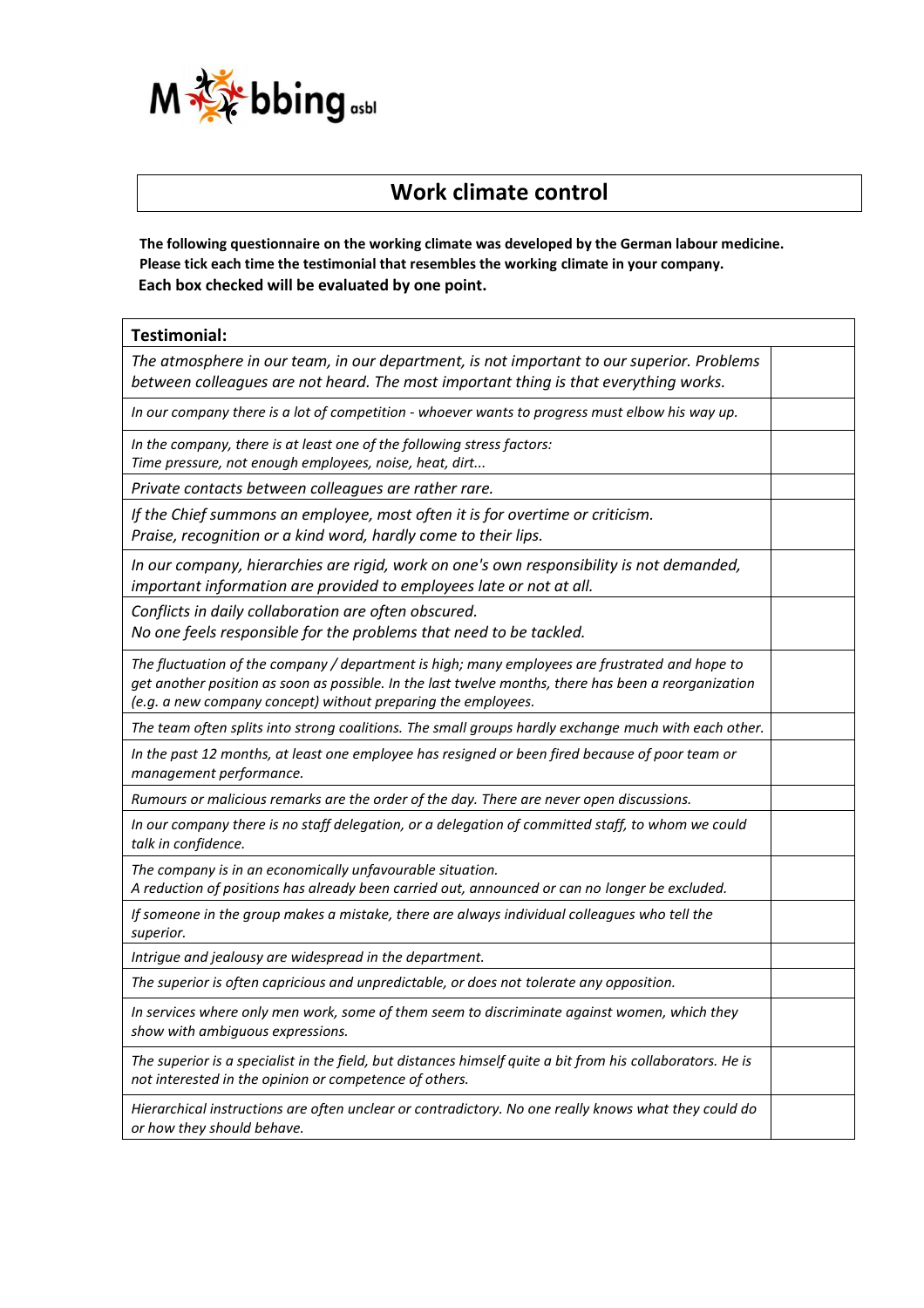

## **Work climate control**

**The following questionnaire on the working climate was developed by the German labour medicine. Please tick each time the testimonial that resembles the working climate in your company. Each box checked will be evaluated by one point.** 

| <b>Testimonial:</b>                                                                                                                                                                                                                                                     |  |
|-------------------------------------------------------------------------------------------------------------------------------------------------------------------------------------------------------------------------------------------------------------------------|--|
| The atmosphere in our team, in our department, is not important to our superior. Problems<br>between colleagues are not heard. The most important thing is that everything works.                                                                                       |  |
| In our company there is a lot of competition - whoever wants to progress must elbow his way up.                                                                                                                                                                         |  |
| In the company, there is at least one of the following stress factors:<br>Time pressure, not enough employees, noise, heat, dirt                                                                                                                                        |  |
| Private contacts between colleagues are rather rare.                                                                                                                                                                                                                    |  |
| If the Chief summons an employee, most often it is for overtime or criticism.<br>Praise, recognition or a kind word, hardly come to their lips.                                                                                                                         |  |
| In our company, hierarchies are rigid, work on one's own responsibility is not demanded,<br>important information are provided to employees late or not at all.                                                                                                         |  |
| Conflicts in daily collaboration are often obscured.<br>No one feels responsible for the problems that need to be tackled.                                                                                                                                              |  |
| The fluctuation of the company / department is high; many employees are frustrated and hope to<br>get another position as soon as possible. In the last twelve months, there has been a reorganization<br>(e.g. a new company concept) without preparing the employees. |  |
| The team often splits into strong coalitions. The small groups hardly exchange much with each other.                                                                                                                                                                    |  |
| In the past 12 months, at least one employee has resigned or been fired because of poor team or<br>management performance.                                                                                                                                              |  |
| Rumours or malicious remarks are the order of the day. There are never open discussions.                                                                                                                                                                                |  |
| In our company there is no staff delegation, or a delegation of committed staff, to whom we could<br>talk in confidence.                                                                                                                                                |  |
| The company is in an economically unfavourable situation.<br>A reduction of positions has already been carried out, announced or can no longer be excluded.                                                                                                             |  |
| If someone in the group makes a mistake, there are always individual colleagues who tell the<br>superior.                                                                                                                                                               |  |
| Intrigue and jealousy are widespread in the department.                                                                                                                                                                                                                 |  |
| The superior is often capricious and unpredictable, or does not tolerate any opposition.                                                                                                                                                                                |  |
| In services where only men work, some of them seem to discriminate against women, which they<br>show with ambiguous expressions.                                                                                                                                        |  |
| The superior is a specialist in the field, but distances himself quite a bit from his collaborators. He is<br>not interested in the opinion or competence of others.                                                                                                    |  |
| Hierarchical instructions are often unclear or contradictory. No one really knows what they could do<br>or how they should behave.                                                                                                                                      |  |